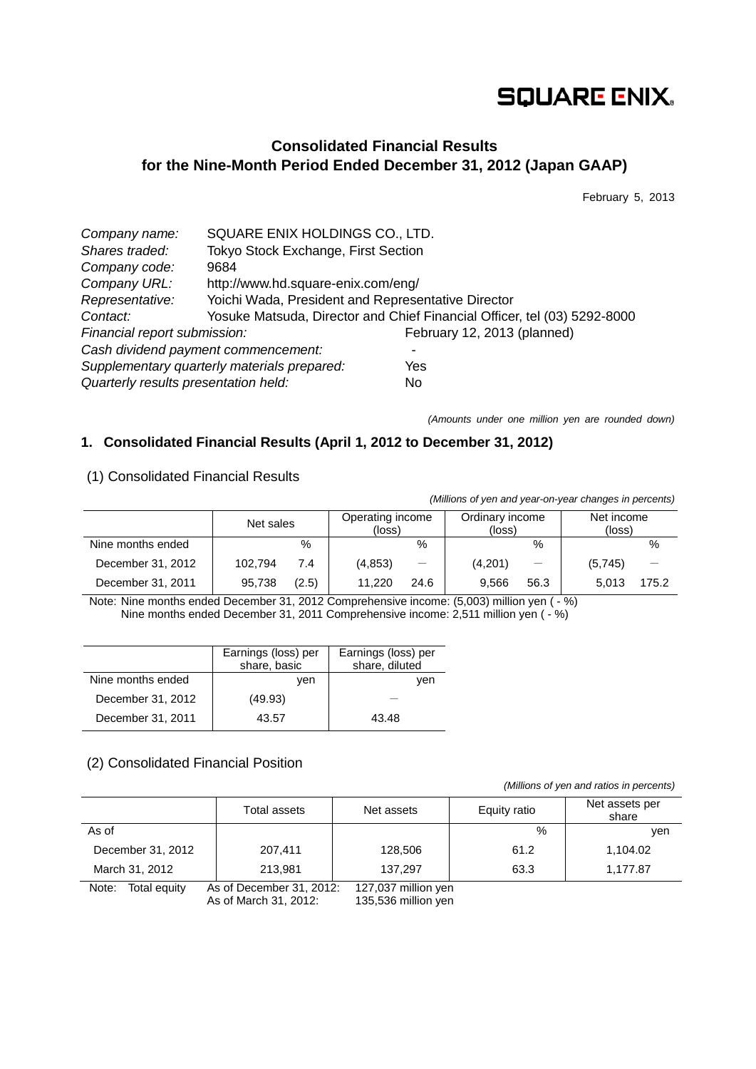# **SQUARE ENIX.**

# **Consolidated Financial Results for the Nine-Month Period Ended December 31, 2012 (Japan GAAP)**

February 5, 2013

| Company name:                        | SQUARE ENIX HOLDINGS CO., LTD.                     |                                                                          |  |  |
|--------------------------------------|----------------------------------------------------|--------------------------------------------------------------------------|--|--|
| Shares traded:                       | Tokyo Stock Exchange, First Section                |                                                                          |  |  |
| Company code:                        | 9684                                               |                                                                          |  |  |
| Company URL:                         | http://www.hd.square-enix.com/eng/                 |                                                                          |  |  |
| Representative:                      | Yoichi Wada, President and Representative Director |                                                                          |  |  |
| Contact:                             |                                                    | Yosuke Matsuda, Director and Chief Financial Officer, tel (03) 5292-8000 |  |  |
| Financial report submission:         |                                                    | February 12, 2013 (planned)                                              |  |  |
|                                      | Cash dividend payment commencement:                |                                                                          |  |  |
|                                      | Supplementary quarterly materials prepared:        | Yes                                                                      |  |  |
| Quarterly results presentation held: |                                                    | No.                                                                      |  |  |

*(Amounts under one million yen are rounded down)*

### **1. Consolidated Financial Results (April 1, 2012 to December 31, 2012)**

### (1) Consolidated Financial Results

*(Millions of yen and year-on-year changes in percents)*

|                   | Net sales |       | Operating income<br>(loss) |                   | Ordinary income<br>(loss) |      | Net income<br>(loss) |       |
|-------------------|-----------|-------|----------------------------|-------------------|---------------------------|------|----------------------|-------|
| Nine months ended |           | $\%$  |                            | %                 |                           | %    |                      | %     |
| December 31, 2012 | 102.794   | 7.4   | (4, 853)                   | $\qquad \qquad -$ | (4,201)                   |      | (5,745)              |       |
| December 31, 2011 | 95.738    | (2.5) | 11.220                     | 24.6              | 9.566                     | 56.3 | 5.013                | 175.2 |

Note: Nine months ended December 31, 2012 Comprehensive income: (5,003) million yen ( - %) Nine months ended December 31, 2011 Comprehensive income: 2,511 million yen ( - %)

|                   | Earnings (loss) per<br>share, basic | Earnings (loss) per<br>share, diluted |
|-------------------|-------------------------------------|---------------------------------------|
| Nine months ended | ven                                 | ven                                   |
| December 31, 2012 | (49.93)                             |                                       |
| December 31, 2011 | 43.57                               | 43.48                                 |

### (2) Consolidated Financial Position

*(Millions of yen and ratios in percents)*

|                       | Total assets             | Net assets          | Equity ratio | Net assets per<br>share |
|-----------------------|--------------------------|---------------------|--------------|-------------------------|
| As of                 |                          |                     | %            | ven                     |
| December 31, 2012     | 207,411                  | 128,506             | 61.2         | 1,104.02                |
| March 31, 2012        | 213.981                  | 137.297             | 63.3         | 1,177.87                |
| Note:<br>Total equity | As of December 31, 2012: | 127,037 million yen |              |                         |

As of March 31, 2012: 135,536 million yen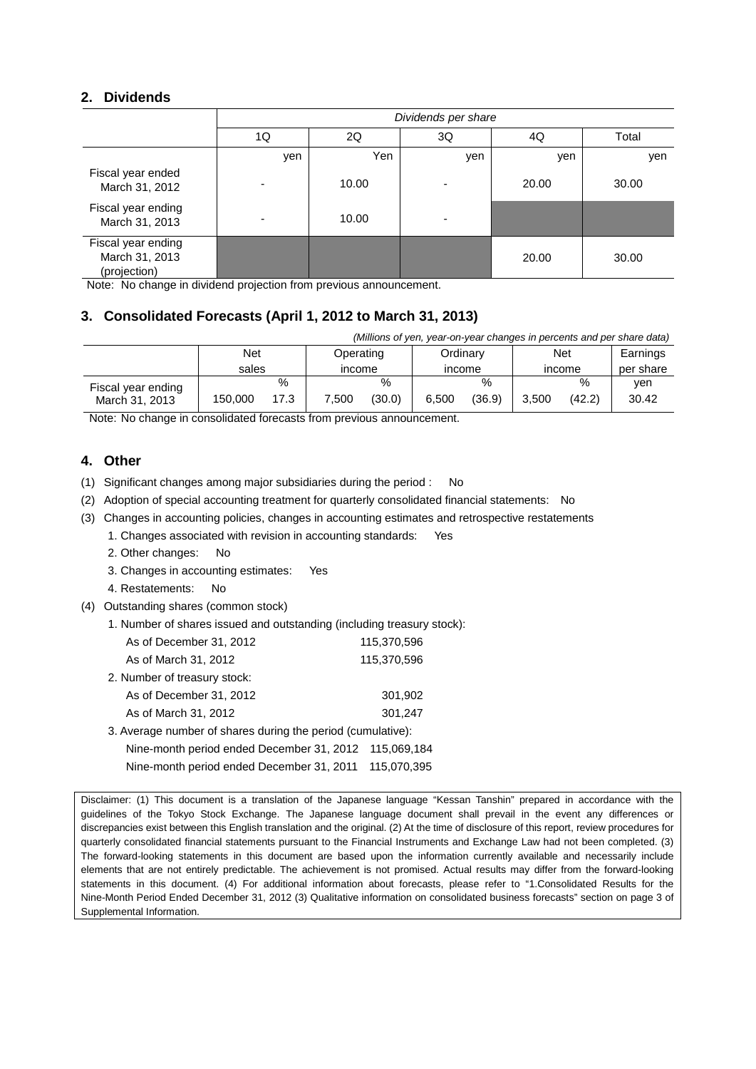### **2. Dividends**

|                                                      | Dividends per share |       |     |       |       |  |  |
|------------------------------------------------------|---------------------|-------|-----|-------|-------|--|--|
|                                                      | 1Q                  | 2Q    | 3Q  | 4Q    | Total |  |  |
|                                                      | yen                 | Yen   | yen | yen   | yen   |  |  |
| Fiscal year ended<br>March 31, 2012                  |                     | 10.00 |     | 20.00 | 30.00 |  |  |
| Fiscal year ending<br>March 31, 2013                 |                     | 10.00 |     |       |       |  |  |
| Fiscal year ending<br>March 31, 2013<br>(projection) |                     |       |     | 20.00 | 30.00 |  |  |

Note: No change in dividend projection from previous announcement.

## **3. Consolidated Forecasts (April 1, 2012 to March 31, 2013)**

| (Millions of yen, year-on-year changes in percents and per share data) |                  |      |          |        |        |        |          |        |           |
|------------------------------------------------------------------------|------------------|------|----------|--------|--------|--------|----------|--------|-----------|
|                                                                        | Net<br>Operating |      | Ordinarv |        | Net    |        | Earnings |        |           |
|                                                                        | sales            |      | income   |        | income |        | income   |        | per share |
| Fiscal year ending                                                     |                  | $\%$ |          | %      |        | $\%$   |          | %      | ven       |
| March 31, 2013                                                         | 150.000          | 17.3 | 7.500    | (30.0) | 6.500  | (36.9) | 3.500    | (42.2) | 30.42     |

Note: No change in consolidated forecasts from previous announcement.

### **4. Other**

(1) Significant changes among major subsidiaries during the period : No

(2) Adoption of special accounting treatment for quarterly consolidated financial statements: No

(3) Changes in accounting policies, changes in accounting estimates and retrospective restatements

1. Changes associated with revision in accounting standards: Yes

- 2. Other changes: No
- 3. Changes in accounting estimates: Yes
- 4. Restatements: No
- (4) Outstanding shares (common stock)
	- 1. Number of shares issued and outstanding (including treasury stock):

| As of December 31, 2012      | 115.370.596 |
|------------------------------|-------------|
| As of March 31, 2012         | 115,370,596 |
| 2. Number of treasury stock: |             |

| As of December 31, 2012 | 301.902 |
|-------------------------|---------|
| As of March 31, 2012    | 301.247 |

3. Average number of shares during the period (cumulative): Nine-month period ended December 31, 2012 115,069,184

Nine-month period ended December 31, 2011 115,070,395

Disclaimer: (1) This document is a translation of the Japanese language "Kessan Tanshin" prepared in accordance with the guidelines of the Tokyo Stock Exchange. The Japanese language document shall prevail in the event any differences or discrepancies exist between this English translation and the original. (2) At the time of disclosure of this report, review procedures for quarterly consolidated financial statements pursuant to the Financial Instruments and Exchange Law had not been completed. (3) The forward-looking statements in this document are based upon the information currently available and necessarily include elements that are not entirely predictable. The achievement is not promised. Actual results may differ from the forward-looking statements in this document. (4) For additional information about forecasts, please refer to "1.Consolidated Results for the Nine-Month Period Ended December 31, 2012 (3) Qualitative information on consolidated business forecasts" section on page 3 of Supplemental Information.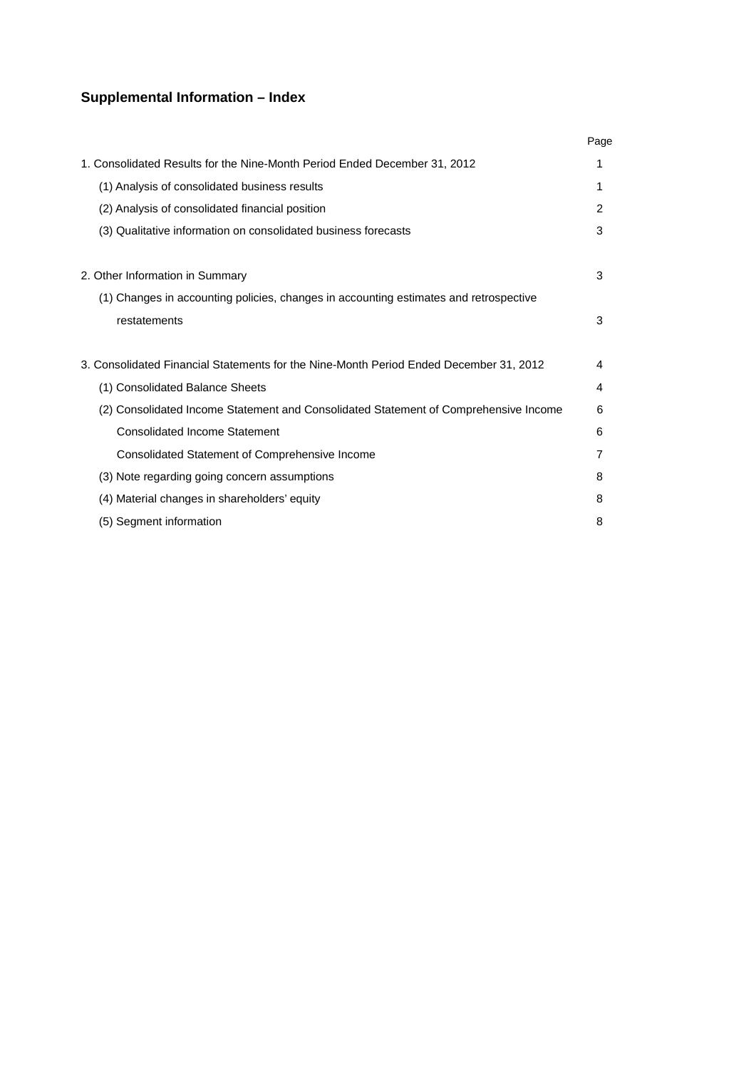# **Supplemental Information – Index**

|                                                                                        | Page           |
|----------------------------------------------------------------------------------------|----------------|
| 1. Consolidated Results for the Nine-Month Period Ended December 31, 2012              | 1              |
| (1) Analysis of consolidated business results                                          | 1              |
| (2) Analysis of consolidated financial position                                        | $\overline{2}$ |
| (3) Qualitative information on consolidated business forecasts                         | 3              |
| 2. Other Information in Summary                                                        | 3              |
| (1) Changes in accounting policies, changes in accounting estimates and retrospective  |                |
| restatements                                                                           | 3              |
| 3. Consolidated Financial Statements for the Nine-Month Period Ended December 31, 2012 | 4              |
| (1) Consolidated Balance Sheets                                                        | 4              |
| (2) Consolidated Income Statement and Consolidated Statement of Comprehensive Income   | 6              |
| Consolidated Income Statement                                                          | 6              |
| Consolidated Statement of Comprehensive Income                                         | 7              |
| (3) Note regarding going concern assumptions                                           | 8              |
| (4) Material changes in shareholders' equity                                           | 8              |
| (5) Segment information                                                                | 8              |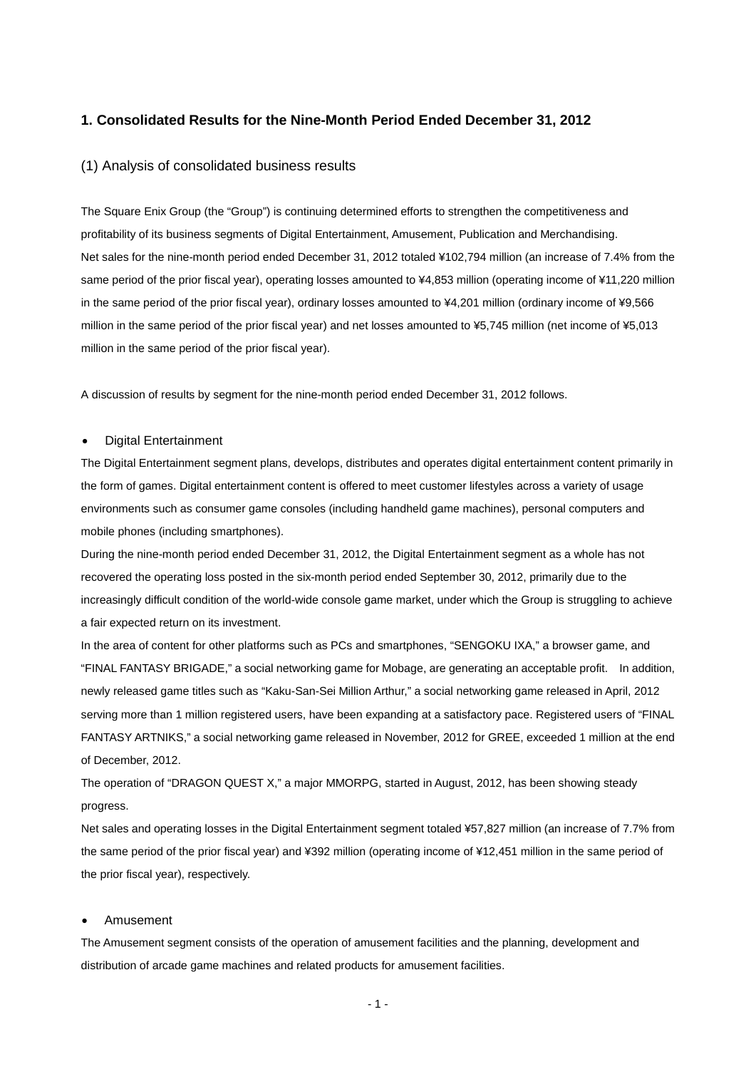#### **1. Consolidated Results for the Nine-Month Period Ended December 31, 2012**

#### (1) Analysis of consolidated business results

The Square Enix Group (the "Group") is continuing determined efforts to strengthen the competitiveness and profitability of its business segments of Digital Entertainment, Amusement, Publication and Merchandising. Net sales for the nine-month period ended December 31, 2012 totaled ¥102,794 million (an increase of 7.4% from the same period of the prior fiscal year), operating losses amounted to ¥4,853 million (operating income of ¥11,220 million in the same period of the prior fiscal year), ordinary losses amounted to ¥4,201 million (ordinary income of ¥9,566 million in the same period of the prior fiscal year) and net losses amounted to ¥5,745 million (net income of ¥5,013 million in the same period of the prior fiscal year).

A discussion of results by segment for the nine-month period ended December 31, 2012 follows.

#### • Digital Entertainment

The Digital Entertainment segment plans, develops, distributes and operates digital entertainment content primarily in the form of games. Digital entertainment content is offered to meet customer lifestyles across a variety of usage environments such as consumer game consoles (including handheld game machines), personal computers and mobile phones (including smartphones).

During the nine-month period ended December 31, 2012, the Digital Entertainment segment as a whole has not recovered the operating loss posted in the six-month period ended September 30, 2012, primarily due to the increasingly difficult condition of the world-wide console game market, under which the Group is struggling to achieve a fair expected return on its investment.

In the area of content for other platforms such as PCs and smartphones, "SENGOKU IXA," a browser game, and "FINAL FANTASY BRIGADE," a social networking game for Mobage, are generating an acceptable profit. In addition, newly released game titles such as "Kaku-San-Sei Million Arthur," a social networking game released in April, 2012 serving more than 1 million registered users, have been expanding at a satisfactory pace. Registered users of "FINAL FANTASY ARTNIKS," a social networking game released in November, 2012 for GREE, exceeded 1 million at the end of December, 2012.

The operation of "DRAGON QUEST X," a major MMORPG, started in August, 2012, has been showing steady progress.

Net sales and operating losses in the Digital Entertainment segment totaled ¥57,827 million (an increase of 7.7% from the same period of the prior fiscal year) and ¥392 million (operating income of ¥12,451 million in the same period of the prior fiscal year), respectively.

#### • Amusement

The Amusement segment consists of the operation of amusement facilities and the planning, development and distribution of arcade game machines and related products for amusement facilities.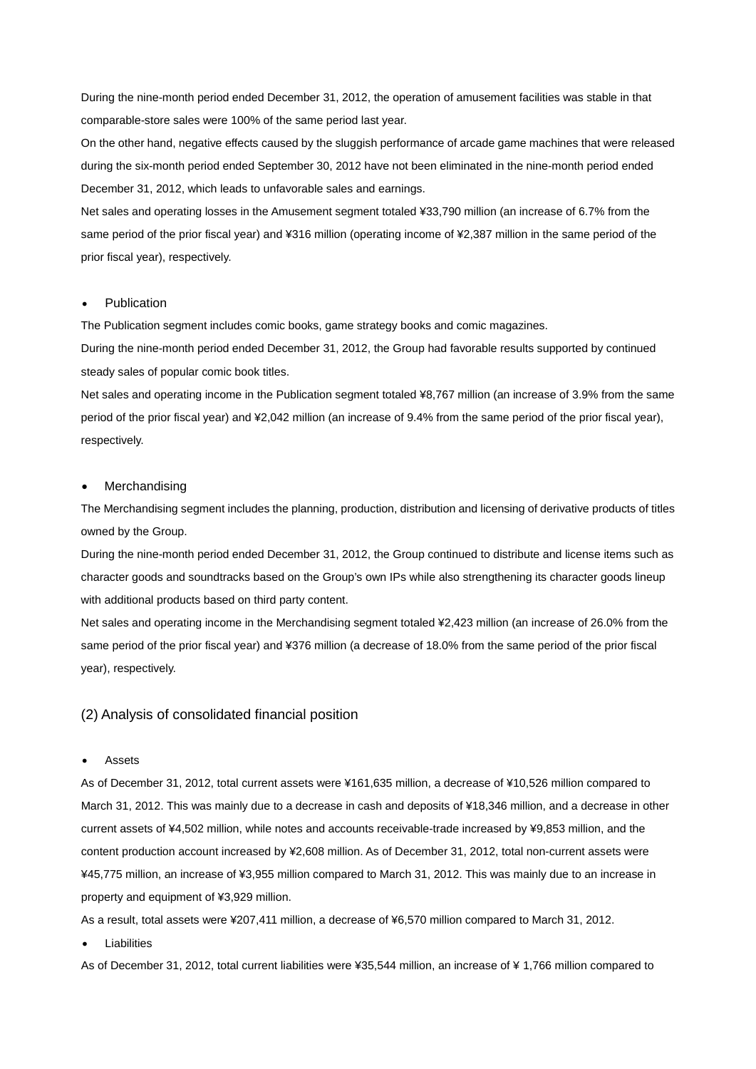During the nine-month period ended December 31, 2012, the operation of amusement facilities was stable in that comparable-store sales were 100% of the same period last year.

On the other hand, negative effects caused by the sluggish performance of arcade game machines that were released during the six-month period ended September 30, 2012 have not been eliminated in the nine-month period ended December 31, 2012, which leads to unfavorable sales and earnings.

Net sales and operating losses in the Amusement segment totaled ¥33,790 million (an increase of 6.7% from the same period of the prior fiscal year) and ¥316 million (operating income of ¥2,387 million in the same period of the prior fiscal year), respectively.

#### **Publication**

The Publication segment includes comic books, game strategy books and comic magazines.

During the nine-month period ended December 31, 2012, the Group had favorable results supported by continued steady sales of popular comic book titles.

Net sales and operating income in the Publication segment totaled ¥8,767 million (an increase of 3.9% from the same period of the prior fiscal year) and ¥2,042 million (an increase of 9.4% from the same period of the prior fiscal year), respectively.

#### **Merchandising**

The Merchandising segment includes the planning, production, distribution and licensing of derivative products of titles owned by the Group.

During the nine-month period ended December 31, 2012, the Group continued to distribute and license items such as character goods and soundtracks based on the Group's own IPs while also strengthening its character goods lineup with additional products based on third party content.

Net sales and operating income in the Merchandising segment totaled ¥2,423 million (an increase of 26.0% from the same period of the prior fiscal year) and ¥376 million (a decrease of 18.0% from the same period of the prior fiscal year), respectively.

#### (2) Analysis of consolidated financial position

#### • Assets

As of December 31, 2012, total current assets were ¥161,635 million, a decrease of ¥10,526 million compared to March 31, 2012. This was mainly due to a decrease in cash and deposits of ¥18,346 million, and a decrease in other current assets of ¥4,502 million, while notes and accounts receivable-trade increased by ¥9,853 million, and the content production account increased by ¥2,608 million. As of December 31, 2012, total non-current assets were ¥45,775 million, an increase of ¥3,955 million compared to March 31, 2012. This was mainly due to an increase in property and equipment of ¥3,929 million.

As a result, total assets were ¥207,411 million, a decrease of ¥6,570 million compared to March 31, 2012.

**Liabilities** 

As of December 31, 2012, total current liabilities were ¥35,544 million, an increase of ¥ 1,766 million compared to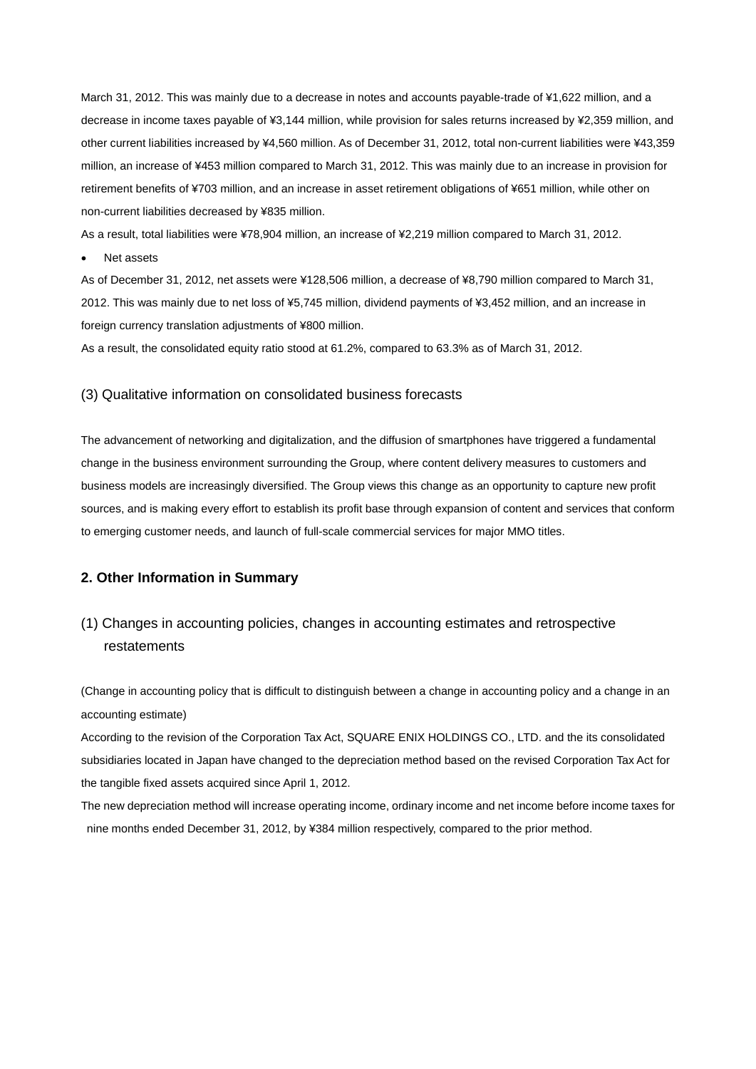March 31, 2012. This was mainly due to a decrease in notes and accounts payable-trade of ¥1,622 million, and a decrease in income taxes payable of ¥3,144 million, while provision for sales returns increased by ¥2,359 million, and other current liabilities increased by ¥4,560 million. As of December 31, 2012, total non-current liabilities were ¥43,359 million, an increase of ¥453 million compared to March 31, 2012. This was mainly due to an increase in provision for retirement benefits of ¥703 million, and an increase in asset retirement obligations of ¥651 million, while other on non-current liabilities decreased by ¥835 million.

As a result, total liabilities were ¥78,904 million, an increase of ¥2,219 million compared to March 31, 2012.

• Net assets

As of December 31, 2012, net assets were ¥128,506 million, a decrease of ¥8,790 million compared to March 31, 2012. This was mainly due to net loss of ¥5,745 million, dividend payments of ¥3,452 million, and an increase in foreign currency translation adjustments of ¥800 million.

As a result, the consolidated equity ratio stood at 61.2%, compared to 63.3% as of March 31, 2012.

#### (3) Qualitative information on consolidated business forecasts

The advancement of networking and digitalization, and the diffusion of smartphones have triggered a fundamental change in the business environment surrounding the Group, where content delivery measures to customers and business models are increasingly diversified. The Group views this change as an opportunity to capture new profit sources, and is making every effort to establish its profit base through expansion of content and services that conform to emerging customer needs, and launch of full-scale commercial services for major MMO titles.

### **2. Other Information in Summary**

# (1) Changes in accounting policies, changes in accounting estimates and retrospective restatements

(Change in accounting policy that is difficult to distinguish between a change in accounting policy and a change in an accounting estimate)

According to the revision of the Corporation Tax Act, SQUARE ENIX HOLDINGS CO., LTD. and the its consolidated subsidiaries located in Japan have changed to the depreciation method based on the revised Corporation Tax Act for the tangible fixed assets acquired since April 1, 2012.

The new depreciation method will increase operating income, ordinary income and net income before income taxes for nine months ended December 31, 2012, by ¥384 million respectively, compared to the prior method.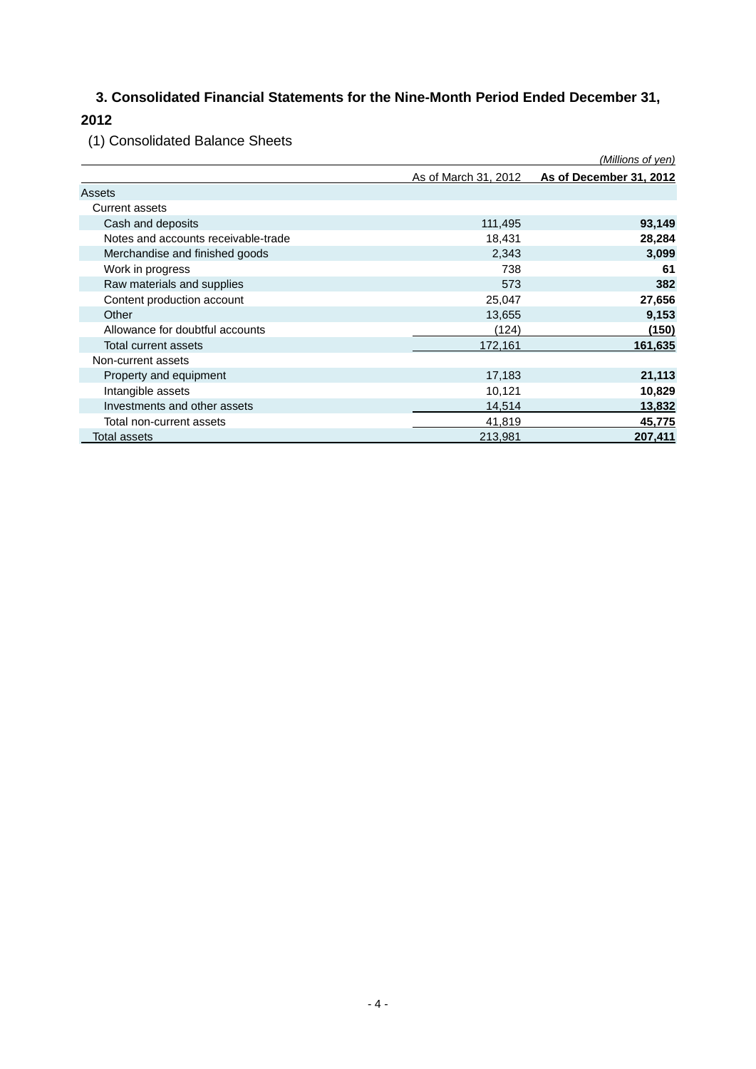# **3. Consolidated Financial Statements for the Nine-Month Period Ended December 31,**

# **2012**

(1) Consolidated Balance Sheets

|                                     |                      | (Millions of yen)       |
|-------------------------------------|----------------------|-------------------------|
|                                     | As of March 31, 2012 | As of December 31, 2012 |
| Assets                              |                      |                         |
| <b>Current assets</b>               |                      |                         |
| Cash and deposits                   | 111,495              | 93,149                  |
| Notes and accounts receivable-trade | 18,431               | 28,284                  |
| Merchandise and finished goods      | 2,343                | 3,099                   |
| Work in progress                    | 738                  | 61                      |
| Raw materials and supplies          | 573                  | 382                     |
| Content production account          | 25,047               | 27,656                  |
| Other                               | 13,655               | 9,153                   |
| Allowance for doubtful accounts     | (124)                | (150)                   |
| Total current assets                | 172,161              | 161,635                 |
| Non-current assets                  |                      |                         |
| Property and equipment              | 17,183               | 21,113                  |
| Intangible assets                   | 10,121               | 10,829                  |
| Investments and other assets        | 14,514               | 13,832                  |
| Total non-current assets            | 41,819               | 45,775                  |
| Total assets                        | 213,981              | 207,411                 |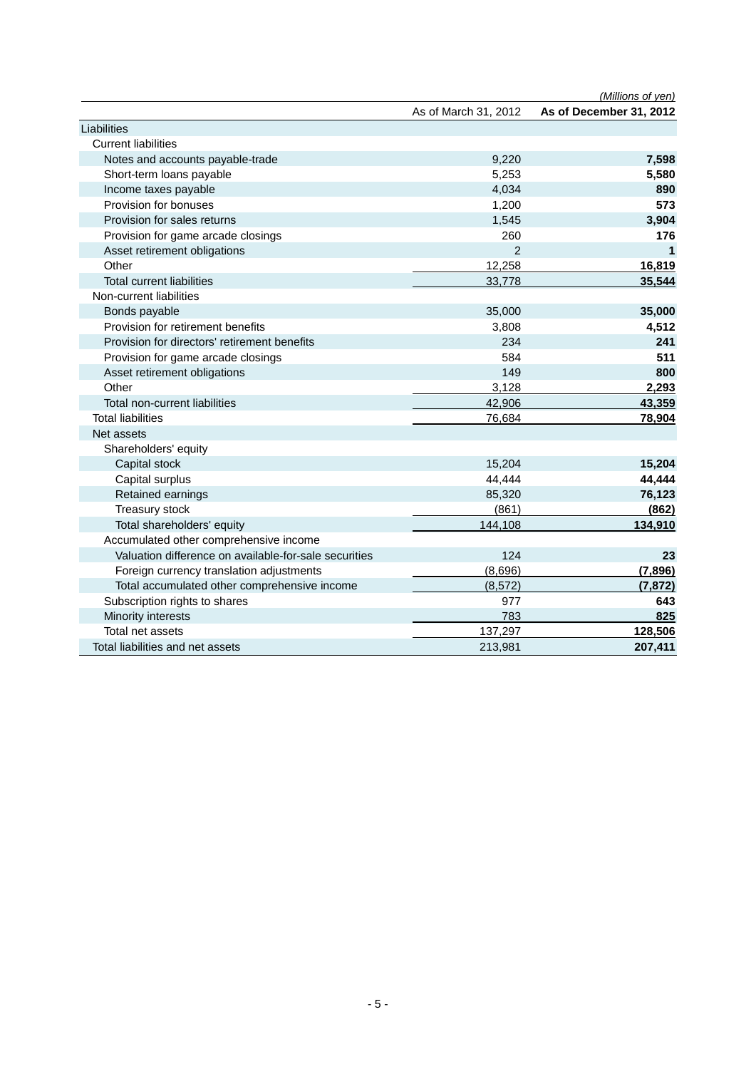|                                                       |                      | (Millions of yen)       |
|-------------------------------------------------------|----------------------|-------------------------|
|                                                       | As of March 31, 2012 | As of December 31, 2012 |
| Liabilities                                           |                      |                         |
| <b>Current liabilities</b>                            |                      |                         |
| Notes and accounts payable-trade                      | 9,220                | 7,598                   |
| Short-term loans payable                              | 5,253                | 5,580                   |
| Income taxes payable                                  | 4,034                | 890                     |
| Provision for bonuses                                 | 1,200                | 573                     |
| Provision for sales returns                           | 1,545                | 3,904                   |
| Provision for game arcade closings                    | 260                  | 176                     |
| Asset retirement obligations                          | $\mathcal{P}$        | 1                       |
| Other                                                 | 12,258               | 16,819                  |
| <b>Total current liabilities</b>                      | 33,778               | 35,544                  |
| Non-current liabilities                               |                      |                         |
| Bonds payable                                         | 35,000               | 35,000                  |
| Provision for retirement benefits                     | 3,808                | 4,512                   |
| Provision for directors' retirement benefits          | 234                  | 241                     |
| Provision for game arcade closings                    | 584                  | 511                     |
| Asset retirement obligations                          | 149                  | 800                     |
| Other                                                 | 3,128                | 2,293                   |
| Total non-current liabilities                         | 42,906               | 43,359                  |
| <b>Total liabilities</b>                              | 76,684               | 78,904                  |
| Net assets                                            |                      |                         |
| Shareholders' equity                                  |                      |                         |
| Capital stock                                         | 15,204               | 15,204                  |
| Capital surplus                                       | 44,444               | 44,444                  |
| Retained earnings                                     | 85,320               | 76,123                  |
| Treasury stock                                        | (861)                | (862)                   |
| Total shareholders' equity                            | 144,108              | 134,910                 |
| Accumulated other comprehensive income                |                      |                         |
| Valuation difference on available-for-sale securities | 124                  | 23                      |
| Foreign currency translation adjustments              | (8,696)              | (7,896)                 |
| Total accumulated other comprehensive income          | (8, 572)             | (7, 872)                |
| Subscription rights to shares                         | 977                  | 643                     |
| Minority interests                                    | 783                  | 825                     |
| Total net assets                                      | 137,297              | 128,506                 |
| Total liabilities and net assets                      | 213,981              | 207,411                 |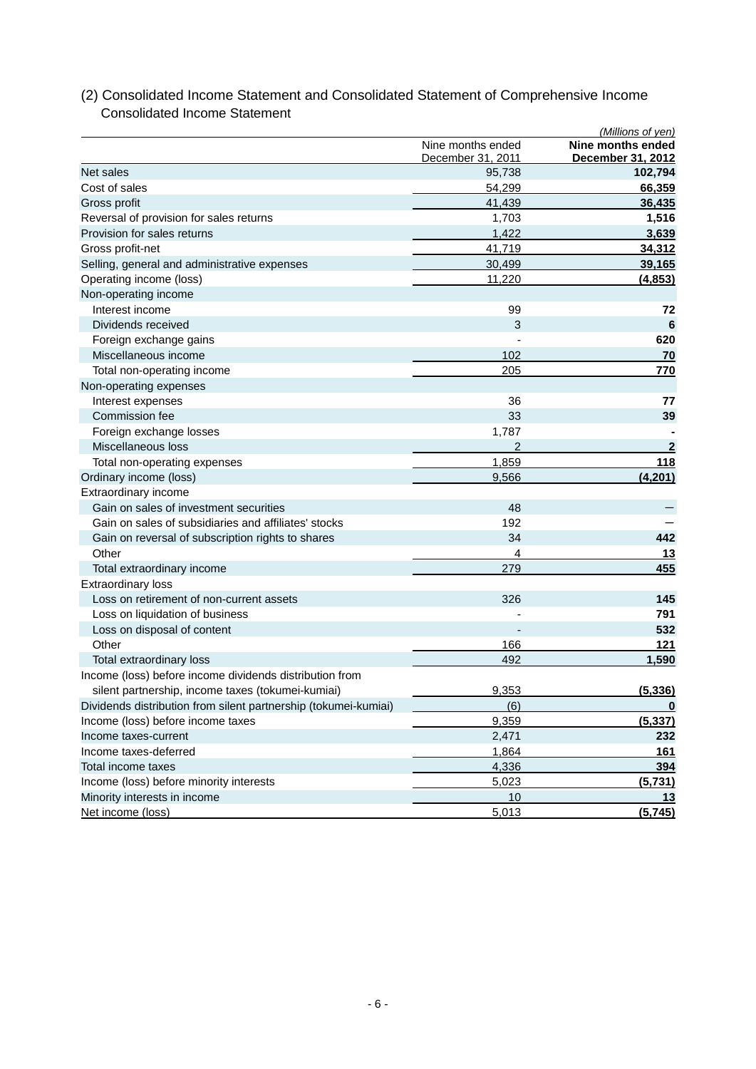# (2) Consolidated Income Statement and Consolidated Statement of Comprehensive Income Consolidated Income Statement *(Millions of yen)*

|                                                                 | Nine months ended<br>December 31, 2011 | Nine months ended<br>December 31, 2012 |
|-----------------------------------------------------------------|----------------------------------------|----------------------------------------|
| Net sales                                                       | 95,738                                 | 102,794                                |
| Cost of sales                                                   | 54,299                                 | 66,359                                 |
| Gross profit                                                    | 41,439                                 | 36,435                                 |
| Reversal of provision for sales returns                         | 1,703                                  | 1,516                                  |
| Provision for sales returns                                     | 1,422                                  | 3,639                                  |
| Gross profit-net                                                | 41,719                                 | 34,312                                 |
| Selling, general and administrative expenses                    | 30,499                                 | 39,165                                 |
| Operating income (loss)                                         | 11,220                                 | (4, 853)                               |
| Non-operating income                                            |                                        |                                        |
| Interest income                                                 | 99                                     | 72                                     |
| Dividends received                                              | 3                                      | 6                                      |
| Foreign exchange gains                                          |                                        | 620                                    |
| Miscellaneous income                                            | 102                                    | 70                                     |
| Total non-operating income                                      | 205                                    | 770                                    |
| Non-operating expenses                                          |                                        |                                        |
| Interest expenses                                               | 36                                     | 77                                     |
| Commission fee                                                  | 33                                     | 39                                     |
| Foreign exchange losses                                         | 1,787                                  |                                        |
| Miscellaneous loss                                              | $\overline{2}$                         | $\overline{2}$                         |
| Total non-operating expenses                                    | 1,859                                  | 118                                    |
| Ordinary income (loss)                                          | 9,566                                  | (4,201)                                |
| Extraordinary income                                            |                                        |                                        |
| Gain on sales of investment securities                          | 48                                     |                                        |
| Gain on sales of subsidiaries and affiliates' stocks            | 192                                    |                                        |
| Gain on reversal of subscription rights to shares               | 34                                     | 442                                    |
| Other                                                           | 4                                      | 13                                     |
| Total extraordinary income                                      | 279                                    | 455                                    |
| <b>Extraordinary loss</b>                                       |                                        |                                        |
| Loss on retirement of non-current assets                        | 326                                    | 145                                    |
| Loss on liquidation of business                                 |                                        | 791                                    |
| Loss on disposal of content                                     |                                        | 532                                    |
| Other                                                           | 166                                    | 121                                    |
| Total extraordinary loss                                        | 492                                    | 1,590                                  |
| Income (loss) before income dividends distribution from         |                                        |                                        |
| silent partnership, income taxes (tokumei-kumiai)               | 9,353                                  | (5, 336)                               |
| Dividends distribution from silent partnership (tokumei-kumiai) | (6)                                    | $\overline{\mathbf{0}}$                |
| Income (loss) before income taxes                               | 9,359                                  | (5, 337)                               |
| Income taxes-current                                            | 2,471                                  | 232                                    |
| Income taxes-deferred                                           | 1,864                                  | 161                                    |
| Total income taxes                                              | 4,336                                  | 394                                    |
| Income (loss) before minority interests                         | 5,023                                  | (5,731)                                |
| Minority interests in income                                    | 10                                     | 13                                     |
| Net income (loss)                                               | 5,013                                  | (5,745)                                |
|                                                                 |                                        |                                        |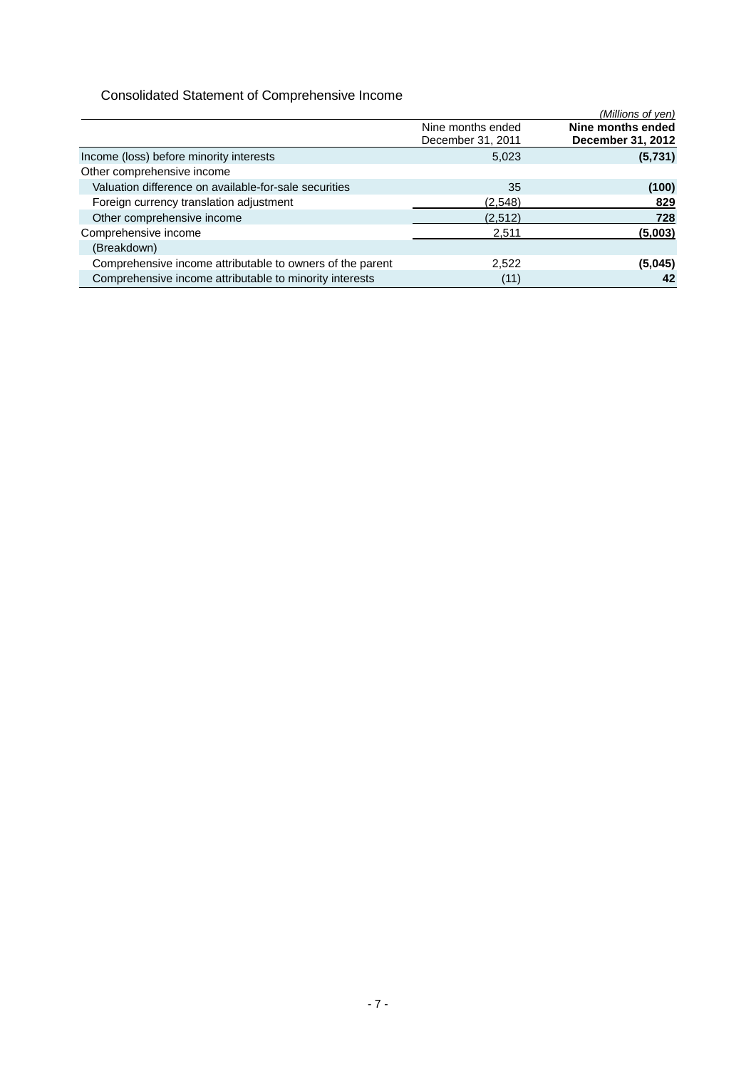# Consolidated Statement of Comprehensive Income

|                                                           |                                        | (Millions of yen)                      |
|-----------------------------------------------------------|----------------------------------------|----------------------------------------|
|                                                           | Nine months ended<br>December 31, 2011 | Nine months ended<br>December 31, 2012 |
| Income (loss) before minority interests                   | 5,023                                  | (5,731)                                |
| Other comprehensive income                                |                                        |                                        |
| Valuation difference on available-for-sale securities     | 35                                     | (100)                                  |
| Foreign currency translation adjustment                   | (2,548)                                | 829                                    |
| Other comprehensive income                                | (2,512)                                | 728                                    |
| Comprehensive income                                      | 2.511                                  | (5,003)                                |
| (Breakdown)                                               |                                        |                                        |
| Comprehensive income attributable to owners of the parent | 2,522                                  | (5,045)                                |
| Comprehensive income attributable to minority interests   | (11)                                   | 42                                     |